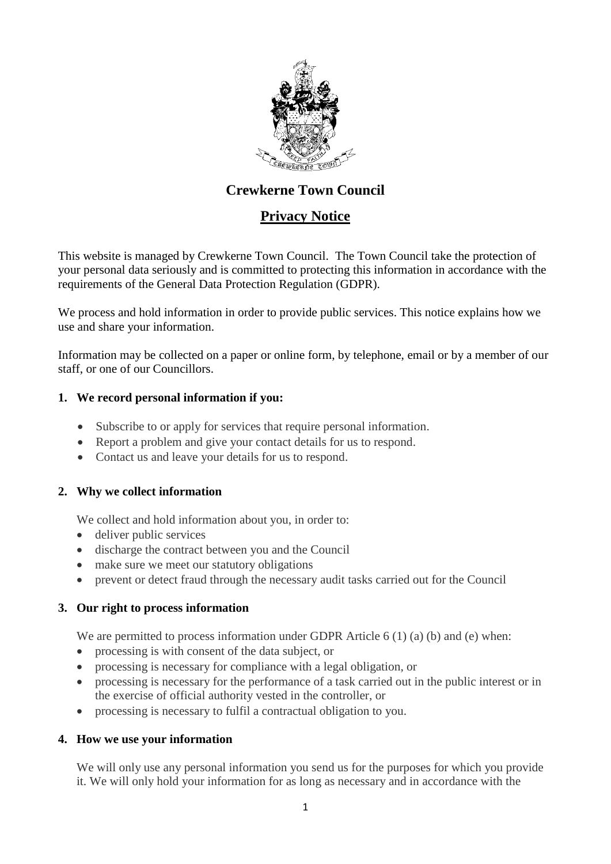

# **Crewkerne Town Council**

## **Privacy Notice**

This website is managed by Crewkerne Town Council. The Town Council take the protection of your personal data seriously and is committed to protecting this information in accordance with the requirements of the General Data Protection Regulation (GDPR).

We process and hold information in order to provide public services. This notice explains how we use and share your information.

Information may be collected on a paper or online form, by telephone, email or by a member of our staff, or one of our Councillors.

#### **1. We record personal information if you:**

- Subscribe to or apply for services that require personal information.
- Report a problem and give your contact details for us to respond.
- Contact us and leave your details for us to respond.

#### **2. Why we collect information**

We collect and hold information about you, in order to:

- deliver public services
- discharge the contract between you and the Council
- make sure we meet our statutory obligations
- prevent or detect fraud through the necessary audit tasks carried out for the Council

#### **3. Our right to process information**

We are permitted to process information under GDPR Article  $6(1)(a)(b)$  and (e) when:

- processing is with consent of the data subject, or
- processing is necessary for compliance with a legal obligation, or
- processing is necessary for the performance of a task carried out in the public interest or in the exercise of official authority vested in the controller, or
- processing is necessary to fulfil a contractual obligation to you.

#### **4. How we use your information**

We will only use any personal information you send us for the purposes for which you provide it. We will only hold your information for as long as necessary and in accordance with the